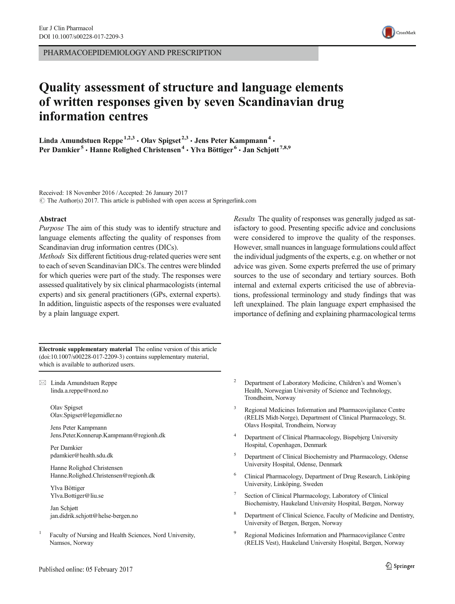PHARMACOEPIDEMIOLOGY AND PRESCRIPTION

# Quality assessment of structure and language elements of written responses given by seven Scandinavian drug information centres

Linda Amundstuen Reppe<sup>1,2,3</sup>  $\cdot$  Olav Spigset<sup>2,3</sup>  $\cdot$  Jens Peter Kampmann<sup>4</sup>  $\cdot$ Per Damkier<sup>5</sup> • Hanne Rolighed Christensen<sup>4</sup> • Ylva Böttiger<sup>6</sup> • Jan Schjøtt<sup>7,8,9</sup>

Received: 18 November 2016 /Accepted: 26 January 2017  $\odot$  The Author(s) 2017. This article is published with open access at Springerlink.com

### Abstract

Purpose The aim of this study was to identify structure and language elements affecting the quality of responses from Scandinavian drug information centres (DICs).

Methods Six different fictitious drug-related queries were sent to each of seven Scandinavian DICs. The centres were blinded for which queries were part of the study. The responses were assessed qualitatively by six clinical pharmacologists (internal experts) and six general practitioners (GPs, external experts). In addition, linguistic aspects of the responses were evaluated by a plain language expert.

However, small nuances in language formulations could affect the individual judgments of the experts, e.g. on whether or not advice was given. Some experts preferred the use of primary sources to the use of secondary and tertiary sources. Both internal and external experts criticised the use of abbreviations, professional terminology and study findings that was left unexplained. The plain language expert emphasised the importance of defining and explaining pharmacological terms

Results The quality of responses was generally judged as satisfactory to good. Presenting specific advice and conclusions were considered to improve the quality of the responses.

Electronic supplementary material The online version of this article (doi[:10.1007/s00228-017-2209-3](http://dx.doi.org/10.1007/s00228-017-2209-3)) contains supplementary material, which is available to authorized users.

 $\boxtimes$  Linda Amundstuen Reppe linda.a.reppe@nord.no

> Olav Spigset Olav.Spigset@legemidler.no

Jens Peter Kampmann Jens.Peter.Konnerup.Kampmann@regionh.dk

Per Damkier pdamkier@health.sdu.dk

Hanne Rolighed Christensen Hanne.Rolighed.Christensen@regionh.dk

Ylva Böttiger Ylva.Bottiger@liu.se

Jan Schjøtt jan.didrik.schjott@helse-bergen.no

<sup>1</sup> Faculty of Nursing and Health Sciences, Nord University, Namsos, Norway

- <sup>2</sup> Department of Laboratory Medicine, Children's and Women's Health, Norwegian University of Science and Technology, Trondheim, Norway
- Regional Medicines Information and Pharmacovigilance Centre (RELIS Midt-Norge), Department of Clinical Pharmacology, St. Olavs Hospital, Trondheim, Norway
- <sup>4</sup> Department of Clinical Pharmacology, Bispebjerg University Hospital, Copenhagen, Denmark
- <sup>5</sup> Department of Clinical Biochemistry and Pharmacology, Odense University Hospital, Odense, Denmark
- <sup>6</sup> Clinical Pharmacology, Department of Drug Research, Linköping University, Linköping, Sweden
- Section of Clinical Pharmacology, Laboratory of Clinical Biochemistry, Haukeland University Hospital, Bergen, Norway
- Department of Clinical Science, Faculty of Medicine and Dentistry, University of Bergen, Bergen, Norway
- Regional Medicines Information and Pharmacovigilance Centre (RELIS Vest), Haukeland University Hospital, Bergen, Norway

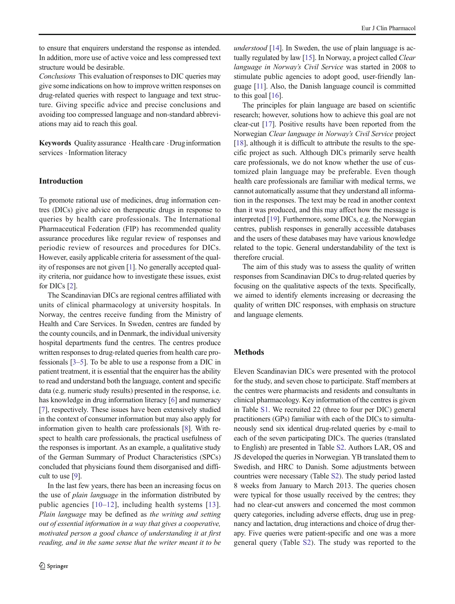Conclusions This evaluation of responses to DIC queries may give some indications on how to improve written responses on drug-related queries with respect to language and text structure. Giving specific advice and precise conclusions and avoiding too compressed language and non-standard abbreviations may aid to reach this goal.

Keywords Ouality assurance  $\cdot$  Health care  $\cdot$  Drug information services . Information literacy

## Introduction

To promote rational use of medicines, drug information centres (DICs) give advice on therapeutic drugs in response to queries by health care professionals. The International Pharmaceutical Federation (FIP) has recommended quality assurance procedures like regular review of responses and periodic review of resources and procedures for DICs. However, easily applicable criteria for assessment of the quality of responses are not given [[1](#page-7-0)]. No generally accepted quality criteria, nor guidance how to investigate these issues, exist for DICs [\[2](#page-7-0)].

The Scandinavian DICs are regional centres affiliated with units of clinical pharmacology at university hospitals. In Norway, the centres receive funding from the Ministry of Health and Care Services. In Sweden, centres are funded by the county councils, and in Denmark, the individual university hospital departments fund the centres. The centres produce written responses to drug-related queries from health care professionals [\[3](#page-7-0)–[5\]](#page-7-0). To be able to use a response from a DIC in patient treatment, it is essential that the enquirer has the ability to read and understand both the language, content and specific data (e.g. numeric study results) presented in the response, i.e. has knowledge in drug information literacy [[6\]](#page-7-0) and numeracy [\[7\]](#page-7-0), respectively. These issues have been extensively studied in the context of consumer information but may also apply for information given to health care professionals [[8](#page-7-0)]. With respect to health care professionals, the practical usefulness of the responses is important. As an example, a qualitative study of the German Summary of Product Characteristics (SPCs) concluded that physicians found them disorganised and difficult to use [\[9\]](#page-8-0).

In the last few years, there has been an increasing focus on the use of *plain language* in the information distributed by public agencies [[10](#page-8-0)–[12\]](#page-8-0), including health systems [[13](#page-8-0)]. Plain language may be defined as the writing and setting out of essential information in a way that gives a cooperative, motivated person a good chance of understanding it at first reading, and in the same sense that the writer meant it to be understood [\[14\]](#page-8-0). In Sweden, the use of plain language is actually regulated by law [\[15\]](#page-8-0). In Norway, a project called Clear language in Norway's Civil Service was started in 2008 to stimulate public agencies to adopt good, user-friendly language [[11](#page-8-0)]. Also, the Danish language council is committed to this goal [\[16](#page-8-0)].

The principles for plain language are based on scientific research; however, solutions how to achieve this goal are not clear-cut [[17](#page-8-0)]. Positive results have been reported from the Norwegian Clear language in Norway's Civil Service project [\[18](#page-8-0)], although it is difficult to attribute the results to the specific project as such. Although DICs primarily serve health care professionals, we do not know whether the use of customized plain language may be preferable. Even though health care professionals are familiar with medical terms, we cannot automatically assume that they understand all information in the responses. The text may be read in another context than it was produced, and this may affect how the message is interpreted [\[19\]](#page-8-0). Furthermore, some DICs, e.g. the Norwegian centres, publish responses in generally accessible databases and the users of these databases may have various knowledge related to the topic. General understandability of the text is therefore crucial.

The aim of this study was to assess the quality of written responses from Scandinavian DICs to drug-related queries by focusing on the qualitative aspects of the texts. Specifically, we aimed to identify elements increasing or decreasing the quality of written DIC responses, with emphasis on structure and language elements.

## Methods

Eleven Scandinavian DICs were presented with the protocol for the study, and seven chose to participate. Staff members at the centres were pharmacists and residents and consultants in clinical pharmacology. Key information of the centres is given in Table S1. We recruited 22 (three to four per DIC) general practitioners (GPs) familiar with each of the DICs to simultaneously send six identical drug-related queries by e-mail to each of the seven participating DICs. The queries (translated to English) are presented in Table S2. Authors LAR, OS and JS developed the queries in Norwegian. YB translated them to Swedish, and HRC to Danish. Some adjustments between countries were necessary (Table S2). The study period lasted 8 weeks from January to March 2013. The queries chosen were typical for those usually received by the centres; they had no clear-cut answers and concerned the most common query categories, including adverse effects, drug use in pregnancy and lactation, drug interactions and choice of drug therapy. Five queries were patient-specific and one was a more general query (Table S2). The study was reported to the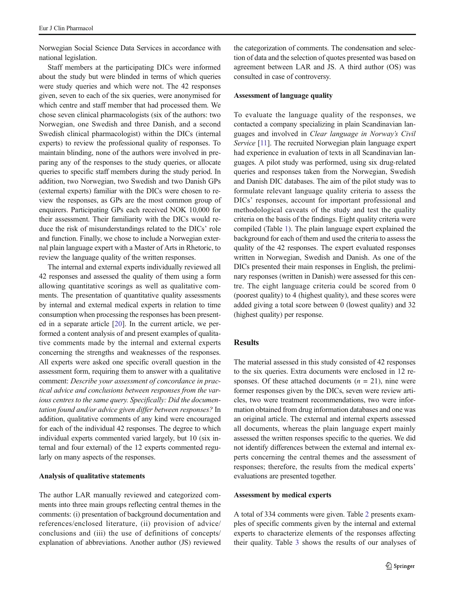Norwegian Social Science Data Services in accordance with national legislation.

Staff members at the participating DICs were informed about the study but were blinded in terms of which queries were study queries and which were not. The 42 responses given, seven to each of the six queries, were anonymised for which centre and staff member that had processed them. We chose seven clinical pharmacologists (six of the authors: two Norwegian, one Swedish and three Danish, and a second Swedish clinical pharmacologist) within the DICs (internal experts) to review the professional quality of responses. To maintain blinding, none of the authors were involved in preparing any of the responses to the study queries, or allocate queries to specific staff members during the study period. In addition, two Norwegian, two Swedish and two Danish GPs (external experts) familiar with the DICs were chosen to review the responses, as GPs are the most common group of enquirers. Participating GPs each received NOK 10,000 for their assessment. Their familiarity with the DICs would reduce the risk of misunderstandings related to the DICs' role and function. Finally, we chose to include a Norwegian external plain language expert with a Master of Arts in Rhetoric, to review the language quality of the written responses.

The internal and external experts individually reviewed all 42 responses and assessed the quality of them using a form allowing quantitative scorings as well as qualitative comments. The presentation of quantitative quality assessments by internal and external medical experts in relation to time consumption when processing the responses has been presented in a separate article [\[20\]](#page-8-0). In the current article, we performed a content analysis of and present examples of qualitative comments made by the internal and external experts concerning the strengths and weaknesses of the responses. All experts were asked one specific overall question in the assessment form, requiring them to answer with a qualitative comment: Describe your assessment of concordance in practical advice and conclusions between responses from the various centres to the same query. Specifically: Did the documentation found and/or advice given differ between responses? In addition, qualitative comments of any kind were encouraged for each of the individual 42 responses. The degree to which individual experts commented varied largely, but 10 (six internal and four external) of the 12 experts commented regularly on many aspects of the responses.

#### Analysis of qualitative statements

The author LAR manually reviewed and categorized comments into three main groups reflecting central themes in the comments: (i) presentation of background documentation and references/enclosed literature, (ii) provision of advice/ conclusions and (iii) the use of definitions of concepts/ explanation of abbreviations. Another author (JS) reviewed

the categorization of comments. The condensation and selection of data and the selection of quotes presented was based on agreement between LAR and JS. A third author (OS) was consulted in case of controversy.

## Assessment of language quality

To evaluate the language quality of the responses, we contacted a company specializing in plain Scandinavian languages and involved in Clear language in Norway's Civil Service [[11](#page-8-0)]. The recruited Norwegian plain language expert had experience in evaluation of texts in all Scandinavian languages. A pilot study was performed, using six drug-related queries and responses taken from the Norwegian, Swedish and Danish DIC databases. The aim of the pilot study was to formulate relevant language quality criteria to assess the DICs' responses, account for important professional and methodological caveats of the study and test the quality criteria on the basis of the findings. Eight quality criteria were compiled (Table [1\)](#page-3-0). The plain language expert explained the background for each of them and used the criteria to assess the quality of the 42 responses. The expert evaluated responses written in Norwegian, Swedish and Danish. As one of the DICs presented their main responses in English, the preliminary responses (written in Danish) were assessed for this centre. The eight language criteria could be scored from 0 (poorest quality) to 4 (highest quality), and these scores were added giving a total score between 0 (lowest quality) and 32 (highest quality) per response.

## **Results**

The material assessed in this study consisted of 42 responses to the six queries. Extra documents were enclosed in 12 responses. Of these attached documents ( $n = 21$ ), nine were former responses given by the DICs, seven were review articles, two were treatment recommendations, two were information obtained from drug information databases and one was an original article. The external and internal experts assessed all documents, whereas the plain language expert mainly assessed the written responses specific to the queries. We did not identify differences between the external and internal experts concerning the central themes and the assessment of responses; therefore, the results from the medical experts' evaluations are presented together.

### Assessment by medical experts

A total of 334 comments were given. Table [2](#page-4-0) presents examples of specific comments given by the internal and external experts to characterize elements of the responses affecting their quality. Table [3](#page-5-0) shows the results of our analyses of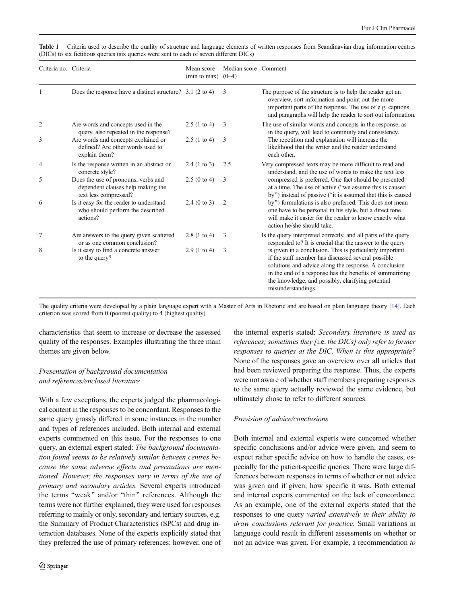| Criteria no. Criteria |                                                                                                   | Mean score<br>(min to max) $(0-4)$ | Median score Comment |                                                                                                                                                                                                                                                                                                                                                                                                                                                                                                                     |
|-----------------------|---------------------------------------------------------------------------------------------------|------------------------------------|----------------------|---------------------------------------------------------------------------------------------------------------------------------------------------------------------------------------------------------------------------------------------------------------------------------------------------------------------------------------------------------------------------------------------------------------------------------------------------------------------------------------------------------------------|
|                       | Does the response have a distinct structure? $3.1$ (2 to 4)                                       |                                    | 3                    | The purpose of the structure is to help the reader get an<br>overview, sort information and point out the more<br>important parts of the response. The use of e.g. captions<br>and paragraphs will help the reader to sort out information.                                                                                                                                                                                                                                                                         |
| $\overline{2}$        | Are words and concepts used in the<br>query, also repeated in the response?                       | 2.5(1 to 4)                        | 3                    | The use of similar words and concepts in the response, as<br>in the query, will lead to continuity and consistency.<br>The repetition and explanation will increase the<br>likelihood that the writer and the reader understand<br>each other.                                                                                                                                                                                                                                                                      |
| 3                     | Are words and concepts explained or<br>defined? Are other words used to<br>explain them?          | 2.5(1 to 4)                        | 3                    |                                                                                                                                                                                                                                                                                                                                                                                                                                                                                                                     |
| 4                     | Is the response written in an abstract or<br>concrete style?                                      | 2.4(1 to 3)                        | 2.5                  | Very compressed texts may be more difficult to read and<br>understand, and the use of words to make the text less<br>compressed is preferred. One fact should be presented<br>at a time. The use of active ("we assume this is caused<br>by") instead of passive ("it is assumed that this is caused<br>by") formulations is also preferred. This does not mean<br>one have to be personal in his style, but a direct tone<br>will make it easier for the reader to know exactly what<br>action he/she should take. |
| 5                     | Does the use of pronouns, verbs and<br>dependent clauses help making the<br>text less compressed? | 2.5(0 to 4)                        | 3                    |                                                                                                                                                                                                                                                                                                                                                                                                                                                                                                                     |
| 6                     | Is it easy for the reader to understand<br>who should perform the described<br>actions?           | $2.4(0 \text{ to } 3)$             | 2                    |                                                                                                                                                                                                                                                                                                                                                                                                                                                                                                                     |
| 7                     | Are answers to the query given scattered<br>or as one common conclusion?                          | $2.8(1 \text{ to } 4)$             | 3                    | Is the query interpreted correctly, and all parts of the query<br>responded to? It is crucial that the answer to the query                                                                                                                                                                                                                                                                                                                                                                                          |
| 8                     | Is it easy to find a concrete answer<br>to the query?                                             | $2.9(1 \text{ to } 4)$             | 3                    | is given in a conclusion. This is particularly important<br>if the staff member has discussed several possible<br>solutions and advice along the response. A conclusion<br>in the end of a response has the benefits of summarizing<br>the knowledge, and possibly, clarifying potential<br>misunderstandings.                                                                                                                                                                                                      |

<span id="page-3-0"></span>Table 1 Criteria used to describe the quality of structure and language elements of written responses from Scandinavian drug information centres (DICs) to six fictitious queries (six queries were sent to each of seven different DICs)

The quality criteria were developed by a plain language expert with a Master of Arts in Rhetoric and are based on plain language theory [\[14\]](#page-8-0). Each criterion was scored from 0 (poorest quality) to 4 (highest quality)

characteristics that seem to increase or decrease the assessed quality of the responses. Examples illustrating the three main themes are given below.

## Presentation of background documentation and references/enclosed literature

With a few exceptions, the experts judged the pharmacological content in the responses to be concordant. Responses to the same query grossly differed in some instances in the number and types of references included. Both internal and external experts commented on this issue. For the responses to one query, an external expert stated: The background documentation found seems to be relatively similar between centres because the same adverse effects and precautions are mentioned. However, the responses vary in terms of the use of primary and secondary articles. Several experts introduced the terms "weak" and/or "thin" references. Although the terms were not further explained, they were used for responses referring to mainly or only, secondary and tertiary sources, e.g. the Summary of Product Characteristics (SPCs) and drug interaction databases. None of the experts explicitly stated that they preferred the use of primary references; however, one of the internal experts stated: Secondary literature is used as references; sometimes they [i.e. the DICs] only refer to former responses to queries at the DIC. When is this appropriate? None of the responses gave an overview over all articles that had been reviewed preparing the response. Thus, the experts were not aware of whether staff members preparing responses to the same query actually reviewed the same evidence, but ultimately chose to refer to different sources.

## Provision of advice/conclusions

Both internal and external experts were concerned whether specific conclusions and/or advice were given, and seem to expect rather specific advice on how to handle the cases, especially for the patient-specific queries. There were large differences between responses in terms of whether or not advice was given and if given, how specific it was. Both external and internal experts commented on the lack of concordance. As an example, one of the external experts stated that the responses to one query varied extensively in their ability to draw conclusions relevant for practice. Small variations in language could result in different assessments on whether or not an advice was given. For example, a recommendation to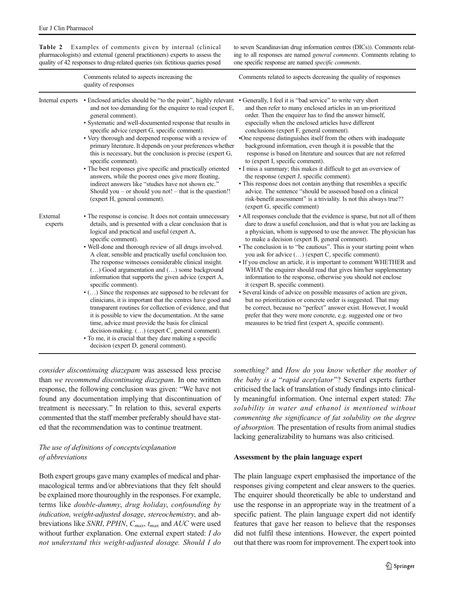<span id="page-4-0"></span>Table 2 Examples of comments given by internal (clinical pharmacologists) and external (general practitioners) experts to assess the quality of 42 responses to drug-related queries (six fictitious queries posed

to seven Scandinavian drug information centres (DICs)). Comments relating to all responses are named general comments. Comments relating to one specific response are named specific comments.

|                     | Comments related to aspects increasing the<br>quality of responses                                                                                                                                                                                                                                                                                                                                                                                                                                                                                                                                                                                                                                                                                                                                                                                                                                                                                                                 | Comments related to aspects decreasing the quality of responses                                                                                                                                                                                                                                                                                                                                                                                                                                                                                                                                                                                                                                                                                                                                                                                                                                                                                                                                      |
|---------------------|------------------------------------------------------------------------------------------------------------------------------------------------------------------------------------------------------------------------------------------------------------------------------------------------------------------------------------------------------------------------------------------------------------------------------------------------------------------------------------------------------------------------------------------------------------------------------------------------------------------------------------------------------------------------------------------------------------------------------------------------------------------------------------------------------------------------------------------------------------------------------------------------------------------------------------------------------------------------------------|------------------------------------------------------------------------------------------------------------------------------------------------------------------------------------------------------------------------------------------------------------------------------------------------------------------------------------------------------------------------------------------------------------------------------------------------------------------------------------------------------------------------------------------------------------------------------------------------------------------------------------------------------------------------------------------------------------------------------------------------------------------------------------------------------------------------------------------------------------------------------------------------------------------------------------------------------------------------------------------------------|
| Internal experts    | • Enclosed articles should be "to the point", highly relevant<br>and not too demanding for the enquirer to read (expert E,<br>general comment).<br>· Systematic and well-documented response that results in<br>specific advice (expert G, specific comment).<br>• Very thorough and deepened response with a review of<br>primary literature. It depends on your preferences whether<br>this is necessary, but the conclusion is precise (expert G,<br>specific comment).<br>• The best responses give specific and practically oriented<br>answers, while the poorest ones give more floating,<br>indirect answers like "studies have not shown etc."<br>Should you – or should you not! – that is the question!!<br>(expert H, general comment).                                                                                                                                                                                                                                | • Generally, I feel it is "bad service" to write very short<br>and then refer to many enclosed articles in an un-prioritized<br>order. Then the enquirer has to find the answer himself,<br>especially when the enclosed articles have different<br>conclusions (expert F, general comment).<br>•One response distinguishes itself from the others with inadequate<br>background information, even though it is possible that the<br>response is based on literature and sources that are not referred<br>to (expert I, specific comment).<br>• I miss a summary; this makes it difficult to get an overview of<br>the response (expert J, specific comment).<br>• This response does not contain anything that resembles a specific<br>advice. The sentence "should be assessed based on a clinical<br>risk-benefit assessment" is a triviality. Is not this always true??<br>(expert G, specific comment)                                                                                          |
| External<br>experts | • The response is concise. It does not contain unnecessary<br>details, and is presented with a clear conclusion that is<br>logical and practical and useful (expert A,<br>specific comment).<br>• Well-done and thorough review of all drugs involved.<br>A clear, sensible and practically useful conclusion too.<br>The response witnesses considerable clinical insight.<br>$()$ Good argumentation and $()$ some background<br>information that supports the given advice (expert A,<br>specific comment).<br>$\bullet$ () Since the responses are supposed to be relevant for<br>clinicians, it is important that the centres have good and<br>transparent routines for collection of evidence, and that<br>it is possible to view the documentation. At the same<br>time, advice must provide the basis for clinical<br>decision-making. () (expert C, general comment).<br>• To me, it is crucial that they dare making a specific<br>decision (expert D, general comment). | • All responses conclude that the evidence is sparse, but not all of them<br>dare to draw a useful conclusion, and that is what you are lacking as<br>a physician, whom is supposed to use the answer. The physician has<br>to make a decision (expert B, general comment).<br>• The conclusion is to "be cautious". This is your starting point when<br>you ask for advice () (expert C, specific comment).<br>• If you enclose an article, it is important to comment WHETHER and<br>WHAT the enquirer should read that gives him/her supplementary<br>information to the response, otherwise you should not enclose<br>it (expert B, specific comment).<br>• Several kinds of advice on possible measures of action are given,<br>but no prioritization or concrete order is suggested. That may<br>be correct, because no "perfect" answer exist. However, I would<br>prefer that they were more concrete, e.g. suggested one or two<br>measures to be tried first (expert A, specific comment). |

consider discontinuing diazepam was assessed less precise than we recommend discontinuing diazepam. In one written response, the following conclusion was given: "We have not found any documentation implying that discontinuation of treatment is necessary." In relation to this, several experts commented that the staff member preferably should have stated that the recommendation was to continue treatment.

## The use of definitions of concepts/explanation of abbreviations

Both expert groups gave many examples of medical and pharmacological terms and/or abbreviations that they felt should be explained more thouroughly in the responses. For example, terms like double-dummy, drug holiday, confounding by indication, weight-adjusted dosage, stereochemistry, and abbreviations like SNRI, PPHN,  $C_{max}$ ,  $t_{max}$  and AUC were used without further explanation. One external expert stated: I do not understand this weight-adjusted dosage. Should I do something? and How do you know whether the mother of the baby is a "rapid acetylator"? Several experts further criticised the lack of translation of study findings into clinically meaningful information. One internal expert stated: The solubility in water and ethanol is mentioned without commenting the significance of fat solubility on the degree of absorption. The presentation of results from animal studies lacking generalizability to humans was also criticised.

## Assessment by the plain language expert

The plain language expert emphasised the importance of the responses giving competent and clear answers to the queries. The enquirer should theoretically be able to understand and use the response in an appropriate way in the treatment of a specific patient. The plain language expert did not identify features that gave her reason to believe that the responses did not fulfil these intentions. However, the expert pointed out that there was room for improvement. The expert took into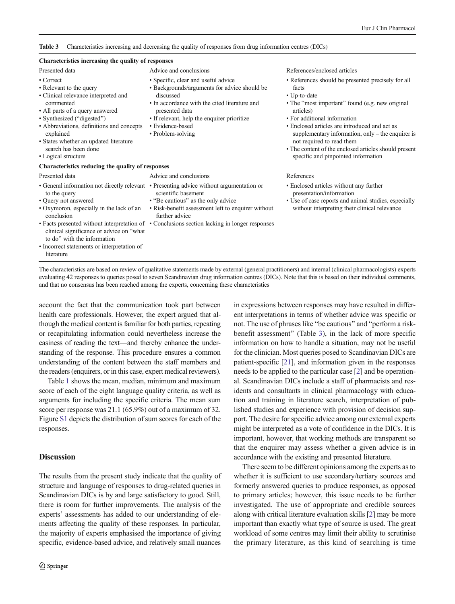## <span id="page-5-0"></span>Table 3 Characteristics increasing and decreasing the quality of responses from drug information centres (DICs)

#### Characteristics increasing the quality of responses

- Correct
- Relevant to the query
- Clinical relevance interpreted and commented
- All parts of a query answered
- Synthesized ("digested")
- Abbreviations, definitions and concepts explained
- States whether an updated literature search has been done
- Logical structure

#### Characteristics reducing the quality of responses

#### Presented data and advice and conclusions and and References

- General information not directly relevant Presenting advice without argumentation or to the query
- Query not answered
- Oxymoron, especially in the lack of an conclusion
- Facts presented without interpretation of Conclusions section lacking in longer responses clinical significance or advice on "what to do" with the information
- Incorrect statements or interpretation of literature
- Specific, clear and useful advice
- Backgrounds/arguments for advice should be discussed
- In accordance with the cited literature and presented data
- If relevant, help the enquirer prioritize
- Evidence-based
- Problem-solving

scientific basement

further advice

• "Be cautious" as the only advice

• Risk-benefit assessment left to enquirer without

## Presented data and Advice and conclusions and annual References/enclosed articles

- References should be presented precisely for all facts
- Up-to-date
- The "most important" found (e.g. new original articles)
- For additional information
- Enclosed articles are introduced and act as supplementary information, only – the enquirer is not required to read them
- The content of the enclosed articles should present specific and pinpointed information

- Enclosed articles without any further presentation/information
- Use of case reports and animal studies, especially without interpreting their clinical relevance

The characteristics are based on review of qualitative statements made by external (general practitioners) and internal (clinical pharmacologists) experts evaluating 42 responses to queries posed to seven Scandinavian drug information centres (DICs). Note that this is based on their individual comments, and that no consensus has been reached among the experts, concerning these characteristics

account the fact that the communication took part between health care professionals. However, the expert argued that although the medical content is familiar for both parties, repeating or recapitulating information could nevertheless increase the easiness of reading the text—and thereby enhance the understanding of the response. This procedure ensures a common understanding of the content between the staff members and the readers (enquirers, or in this case, expert medical reviewers).

Table [1](#page-3-0) shows the mean, median, minimum and maximum score of each of the eight language quality criteria, as well as arguments for including the specific criteria. The mean sum score per response was 21.1 (65.9%) out of a maximum of 32. Figure S1 depicts the distribution of sum scores for each of the responses.

### **Discussion**

The results from the present study indicate that the quality of structure and language of responses to drug-related queries in Scandinavian DICs is by and large satisfactory to good. Still, there is room for further improvements. The analysis of the experts' assessments has added to our understanding of elements affecting the quality of these responses. In particular, the majority of experts emphasised the importance of giving specific, evidence-based advice, and relatively small nuances

in expressions between responses may have resulted in different interpretations in terms of whether advice was specific or not. The use of phrases like "be cautious" and "perform a riskbenefit assessment" (Table 3), in the lack of more specific information on how to handle a situation, may not be useful for the clinician. Most queries posed to Scandinavian DICs are patient-specific [[21](#page-8-0)], and information given in the responses needs to be applied to the particular case [[2\]](#page-7-0) and be operational. Scandinavian DICs include a staff of pharmacists and residents and consultants in clinical pharmacology with education and training in literature search, interpretation of published studies and experience with provision of decision support. The desire for specific advice among our external experts might be interpreted as a vote of confidence in the DICs. It is important, however, that working methods are transparent so that the enquirer may assess whether a given advice is in accordance with the existing and presented literature.

There seem to be different opinions among the experts as to whether it is sufficient to use secondary/tertiary sources and formerly answered queries to produce responses, as opposed to primary articles; however, this issue needs to be further investigated. The use of appropriate and credible sources along with critical literature evaluation skills [\[2](#page-7-0)] may be more important than exactly what type of source is used. The great workload of some centres may limit their ability to scrutinise the primary literature, as this kind of searching is time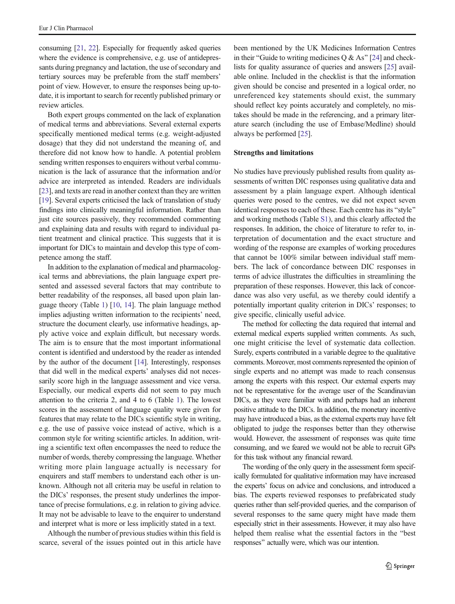consuming [\[21](#page-8-0), [22\]](#page-8-0). Especially for frequently asked queries where the evidence is comprehensive, e.g. use of antidepressants during pregnancy and lactation, the use of secondary and tertiary sources may be preferable from the staff members' point of view. However, to ensure the responses being up-todate, it is important to search for recently published primary or review articles.

Both expert groups commented on the lack of explanation of medical terms and abbreviations. Several external experts specifically mentioned medical terms (e.g. weight-adjusted dosage) that they did not understand the meaning of, and therefore did not know how to handle. A potential problem sending written responses to enquirers without verbal communication is the lack of assurance that the information and/or advice are interpreted as intended. Readers are individuals [\[23\]](#page-8-0), and texts are read in another context than they are written [\[19\]](#page-8-0). Several experts criticised the lack of translation of study findings into clinically meaningful information. Rather than just cite sources passively, they recommended commenting and explaining data and results with regard to individual patient treatment and clinical practice. This suggests that it is important for DICs to maintain and develop this type of competence among the staff.

In addition to the explanation of medical and pharmacological terms and abbreviations, the plain language expert presented and assessed several factors that may contribute to better readability of the responses, all based upon plain language theory (Table [1\)](#page-3-0) [\[10,](#page-8-0) [14](#page-8-0)]. The plain language method implies adjusting written information to the recipients' need, structure the document clearly, use informative headings, apply active voice and explain difficult, but necessary words. The aim is to ensure that the most important informational content is identified and understood by the reader as intended by the author of the document [\[14\]](#page-8-0). Interestingly, responses that did well in the medical experts' analyses did not necessarily score high in the language assessment and vice versa. Especially, our medical experts did not seem to pay much attention to the criteria 2, and 4 to 6 (Table [1\)](#page-3-0). The lowest scores in the assessment of language quality were given for features that may relate to the DICs scientific style in writing, e.g. the use of passive voice instead of active, which is a common style for writing scientific articles. In addition, writing a scientific text often encompasses the need to reduce the number of words, thereby compressing the language. Whether writing more plain language actually is necessary for enquirers and staff members to understand each other is unknown. Although not all criteria may be useful in relation to the DICs' responses, the present study underlines the importance of precise formulations, e.g. in relation to giving advice. It may not be advisable to leave to the enquirer to understand and interpret what is more or less implicitly stated in a text.

Although the number of previous studies within this field is scarce, several of the issues pointed out in this article have been mentioned by the UK Medicines Information Centres in their "Guide to writing medicines  $Q & As$ " [\[24\]](#page-8-0) and checklists for quality assurance of queries and answers [\[25](#page-8-0)] available online. Included in the checklist is that the information given should be concise and presented in a logical order, no unreferenced key statements should exist, the summary should reflect key points accurately and completely, no mistakes should be made in the referencing, and a primary literature search (including the use of Embase/Medline) should always be performed [[25](#page-8-0)].

## Strengths and limitations

No studies have previously published results from quality assessments of written DIC responses using qualitative data and assessment by a plain language expert. Although identical queries were posed to the centres, we did not expect seven identical responses to each of these. Each centre has its "style" and working methods (Table S1), and this clearly affected the responses. In addition, the choice of literature to refer to, interpretation of documentation and the exact structure and wording of the response are examples of working procedures that cannot be 100% similar between individual staff members. The lack of concordance between DIC responses in terms of advice illustrates the difficulties in streamlining the preparation of these responses. However, this lack of concordance was also very useful, as we thereby could identify a potentially important quality criterion in DICs' responses; to give specific, clinically useful advice.

The method for collecting the data required that internal and external medical experts supplied written comments. As such, one might criticise the level of systematic data collection. Surely, experts contributed in a variable degree to the qualitative comments. Moreover, most comments represented the opinion of single experts and no attempt was made to reach consensus among the experts with this respect. Our external experts may not be representative for the average user of the Scandinavian DICs, as they were familiar with and perhaps had an inherent positive attitude to the DICs. In addition, the monetary incentive may have introduced a bias, as the external experts may have felt obligated to judge the responses better than they otherwise would. However, the assessment of responses was quite time consuming, and we feared we would not be able to recruit GPs for this task without any financial reward.

The wording of the only query in the assessment form specifically formulated for qualitative information may have increased the experts' focus on advice and conclusions, and introduced a bias. The experts reviewed responses to prefabricated study queries rather than self-provided queries, and the comparison of several responses to the same query might have made them especially strict in their assessments. However, it may also have helped them realise what the essential factors in the "best" responses" actually were, which was our intention.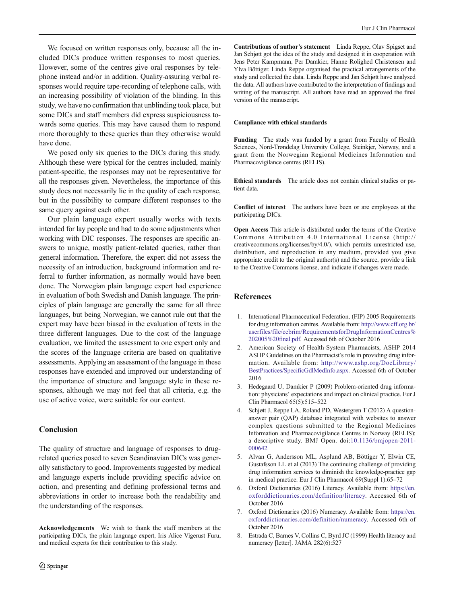<span id="page-7-0"></span>We focused on written responses only, because all the included DICs produce written responses to most queries. However, some of the centres give oral responses by telephone instead and/or in addition. Quality-assuring verbal responses would require tape-recording of telephone calls, with an increasing possibility of violation of the blinding. In this study, we have no confirmation that unblinding took place, but some DICs and staff members did express suspiciousness towards some queries. This may have caused them to respond more thoroughly to these queries than they otherwise would have done.

We posed only six queries to the DICs during this study. Although these were typical for the centres included, mainly patient-specific, the responses may not be representative for all the responses given. Nevertheless, the importance of this study does not necessarily lie in the quality of each response, but in the possibility to compare different responses to the same query against each other.

Our plain language expert usually works with texts intended for lay people and had to do some adjustments when working with DIC responses. The responses are specific answers to unique, mostly patient-related queries, rather than general information. Therefore, the expert did not assess the necessity of an introduction, background information and referral to further information, as normally would have been done. The Norwegian plain language expert had experience in evaluation of both Swedish and Danish language. The principles of plain language are generally the same for all three languages, but being Norwegian, we cannot rule out that the expert may have been biased in the evaluation of texts in the three different languages. Due to the cost of the language evaluation, we limited the assessment to one expert only and the scores of the language criteria are based on qualitative assessments. Applying an assessment of the language in these responses have extended and improved our understanding of the importance of structure and language style in these responses, although we may not feel that all criteria, e.g. the use of active voice, were suitable for our context.

## Conclusion

The quality of structure and language of responses to drugrelated queries posed to seven Scandinavian DICs was generally satisfactory to good. Improvements suggested by medical and language experts include providing specific advice on action, and presenting and defining professional terms and abbreviations in order to increase both the readability and the understanding of the responses.

Acknowledgements We wish to thank the staff members at the participating DICs, the plain language expert, Iris Alice Vigerust Furu, and medical experts for their contribution to this study.

Contributions of author's statement Linda Reppe, Olav Spigset and Jan Schjøtt got the idea of the study and designed it in cooperation with Jens Peter Kampmann, Per Damkier, Hanne Rolighed Christensen and Ylva Böttiger. Linda Reppe organised the practical arrangements of the study and collected the data. Linda Reppe and Jan Schjøtt have analysed the data. All authors have contributed to the interpretation of findings and writing of the manuscript. All authors have read an approved the final version of the manuscript.

#### Compliance with ethical standards

Funding The study was funded by a grant from Faculty of Health Sciences, Nord-Trøndelag University College, Steinkjer, Norway, and a grant from the Norwegian Regional Medicines Information and Pharmacovigilance centres (RELIS).

Ethical standards The article does not contain clinical studies or patient data.

Conflict of interest The authors have been or are employees at the participating DICs.

Open Access This article is distributed under the terms of the Creative Commons Attribution 4.0 International License (http:// creativecommons.org/licenses/by/4.0/), which permits unrestricted use, distribution, and reproduction in any medium, provided you give appropriate credit to the original author(s) and the source, provide a link to the Creative Commons license, and indicate if changes were made.

## References

- 1. International Pharmaceutical Federation, (FIP) 2005 Requirements for drug information centres. Available from: [http://www.cff.org.br/](http://www.cff.org.br/userfiles/file/cebrim/RequirementsforDrugInformationCentres%202005%20final.pdf) [userfiles/file/cebrim/RequirementsforDrugInformationCentres%](http://www.cff.org.br/userfiles/file/cebrim/RequirementsforDrugInformationCentres%202005%20final.pdf) [202005%20final.pdf.](http://www.cff.org.br/userfiles/file/cebrim/RequirementsforDrugInformationCentres%202005%20final.pdf) Accessed 6th of October 2016
- 2. American Society of Health-System Pharmacists, ASHP 2014 ASHP Guidelines on the Pharmacist's role in providing drug information. Available from: [http://www.ashp.org/DocLibrary/](http://www.ashp.org/DocLibrary/BestPractices/SpecificGdlMedInfo.aspx) [BestPractices/SpecificGdlMedInfo.aspx](http://www.ashp.org/DocLibrary/BestPractices/SpecificGdlMedInfo.aspx). Accessed 6th of October 2016
- 3. Hedegaard U, Damkier P (2009) Problem-oriented drug information: physicians' expectations and impact on clinical practice. Eur J Clin Pharmacol 65(5):515–522
- 4. Schjøtt J, Reppe LA, Roland PD, Westergren T (2012) A questionanswer pair (QAP) database integrated with websites to answer complex questions submitted to the Regional Medicines Information and Pharmacovigilance Centres in Norway (RELIS): a descriptive study. BMJ Open. doi:[10.1136/bmjopen-2011-](http://dx.doi.org/10.1136/bmjopen-2011-000642) [000642](http://dx.doi.org/10.1136/bmjopen-2011-000642)
- 5. Alvan G, Andersson ML, Asplund AB, Böttiger Y, Elwin CE, Gustafsson LL et al (2013) The continuing challenge of providing drug information services to diminish the knowledge-practice gap in medical practice. Eur J Clin Pharmacol 69(Suppl 1):65–72
- 6. Oxford Dictionaries (2016) Literacy. Available from: [https://en.](http://dx.doi.org/https://en.oxforddictionaries.com/definition/literacy) [oxforddictionaries.com/definition/literacy.](http://dx.doi.org/https://en.oxforddictionaries.com/definition/literacy) Accessed 6th of October 2016
- 7. Oxford Dictionaries (2016) Numeracy. Available from: [https://en.](http://dx.doi.org/https://en.oxforddictionaries.com/definition/numeracy) [oxforddictionaries.com/definition/numeracy.](http://dx.doi.org/https://en.oxforddictionaries.com/definition/numeracy) Accessed 6th of October 2016
- 8. Estrada C, Barnes V, Collins C, Byrd JC (1999) Health literacy and numeracy [letter]. JAMA 282(6):527